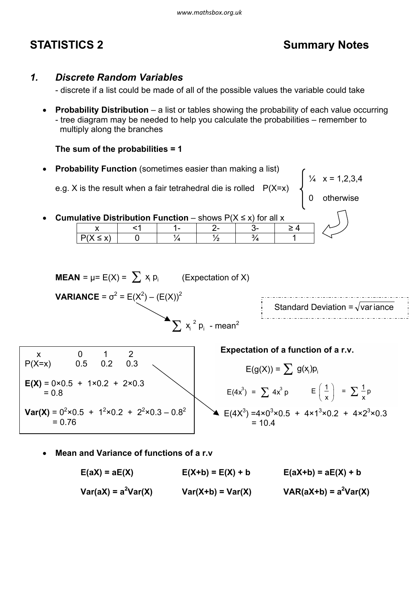# **STATISTICS 2** Summary Notes

# *1. Discrete Random Variables*

- discrete if a list could be made of all of the possible values the variable could take

· **Probability Distribution** – a list or tables showing the probability of each value occurring - tree diagram may be needed to help you calculate the probabilities – remember to multiply along the branches

**The sum of the probabilities = 1**

· **Probability Function** (sometimes easier than making a list)

e.g. X is the result when a fair tetrahedral die is rolled P(X=x)

 $\frac{1}{4}$  x = 1,2,3,4

0 otherwise

**Cumulative Distribution Function** – shows  $P(X \leq x)$  for all x



**Mean and Variance of functions of a r.v.** 

 $E(aX) = aE(X)$   $E(X+b) = E(X) + b$   $E(aX+b) = aE(X) + b$  $Var(aX) = a^2Var(X)$   $Var(X+b) = Var(X)$   $VAR(aX+b) = a^2Var(X)$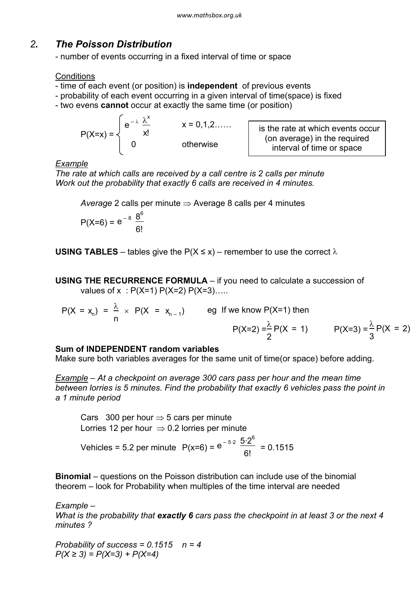# *2. The Poisson Distribution*

- number of events occurring in a fixed interval of time or space

## **Conditions**

- time of each event (or position) is **independent** of previous events
- probability of each event occurring in a given interval of time(space) is fixed
- two evens **cannot** occur at exactly the same time (or position)

$$
P(X=x) = \begin{cases} e^{-\lambda} \frac{\lambda^{x}}{x!} & x = 0,1,2...... \\ 0 & otherwise \end{cases}
$$

is the rate at which events occur (on average) in the required interval of time or space

# *Example*

*The rate at which calls are received by a call centre is 2 calls per minute Work out the probability that exactly 6 calls are received in 4 minutes.*

*Average* 2 calls per minute  $\Rightarrow$  Average 8 calls per 4 minutes

$$
P(X=6) = e^{-8} \frac{8^{6}}{6!}
$$

**USING TABLES** – tables give the  $P(X \le x)$  – remember to use the correct  $\lambda$ 

**USING THE RECURRENCE FORMULA** – if you need to calculate a succession of values of  $x : P(X=1) P(X=2) P(X=3)$ ....

$$
P(X = x_n) = \frac{\lambda}{n} \times P(X = x_{n-1})
$$
 eg If we know  $P(X=1)$  then  
 $P(X=2) = \frac{\lambda}{2}P(X = 1)$   $P(X=3) = \frac{\lambda}{3}P(X = 2)$ 

# **Sum of INDEPENDENT random variables**

Make sure both variables averages for the same unit of time(or space) before adding.

*Example – At a checkpoint on average 300 cars pass per hour and the mean time between lorries is 5 minutes. Find the probability that exactly 6 vehicles pass the point in a 1 minute period*

Cars 300 per hour  $\Rightarrow$  5 cars per minute Lorries 12 per hour  $\Rightarrow$  0.2 lorries per minute Vehicles = 5.2 per minute  $P(x=6) = e^{-5.2} \frac{5.2}{9!} = 0.1515$  $5.2^{6}$ 6!

**Binomial** – questions on the Poisson distribution can include use of the binomial theorem – look for Probability when multiples of the time interval are needed

*Example – What is the probability that exactly 6 cars pass the checkpoint in at least 3 or the next 4 minutes ?*

*Probability of success = 0.1515 n = 4 P(X ≥ 3) = P(X=3) + P(X=4)*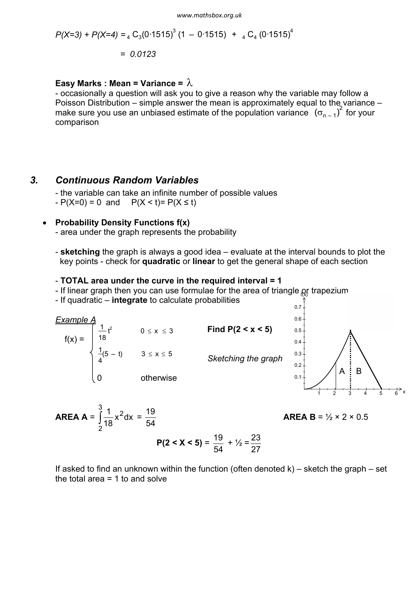$$
P(X=3) + P(X=4) = {}_{4}C_{3}(0.1515)^{3}(1 - 0.1515) + {}_{4}C_{4}(0.1515)^{4}
$$

$$
= 0.0123
$$

### **Easy Marks : Mean = Variance =**  $\lambda$

- occasionally a question will ask you to give a reason why the variable may follow a Poisson Distribution – simple answer the mean is approximately equal to the variance – make sure you use an unbiased estimate of the population variance  $(\sigma_{n-1})^2$  for your comparison

## *3. Continuous Random Variables*

- the variable can take an infinite number of possible values  $-P(X=0) = 0$  and  $P(X < t) = P(X \le t)$ 

### · **Probability Density Functions f(x)**

- area under the graph represents the probability

- **sketching** the graph is always a good idea – evaluate at the interval bounds to plot the key points - check for **quadratic** or **linear** to get the general shape of each section

#### - **TOTAL area under the curve in the required interval = 1**

- If linear graph then you can use formulae for the area of triangle  $\alpha$  trapezium
- If quadratic **integrate** to calculate probabilities





$$
AREA = \int_{2}^{3} \frac{1}{18} x^2 dx = \frac{19}{54}
$$

$$
P(2 < X < 5) = \frac{19}{54}
$$

**AREA B** =  $\frac{1}{2} \times 2 \times 0.5$ 

If asked to find an unknown within the function (often denoted  $k$ ) – sketch the graph – set the total area  $= 1$  to and solve

54

+  $\frac{1}{2} = \frac{23}{27}$ 

27

**AKEA B** = 
$$
\frac{1}{2}
$$
 × 2 × 0.5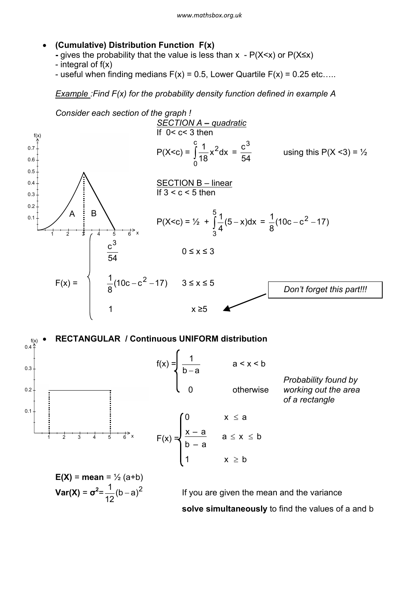- · **(Cumulative) Distribution Function F(x)**
	- **-** gives the probability that the value is less than x P(X<x) or P(X≤x)
	- integral of  $f(x)$
	- useful when finding medians  $F(x) = 0.5$ , Lower Quartile  $F(x) = 0.25$  etc....

*Example :Find F(x) for the probability density function defined in example A*



**solve simultaneously** to find the values of a and b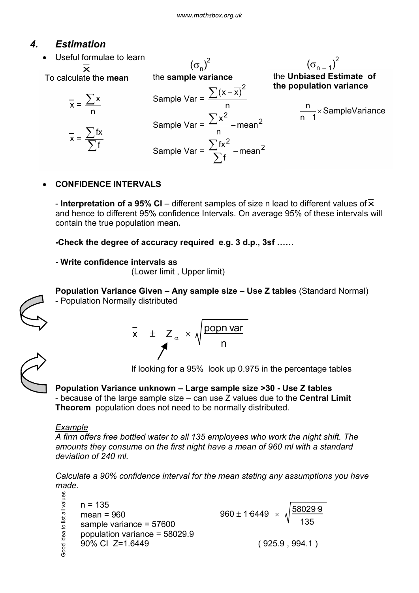# *4. Estimation*

- Useful formulae to learn To calculate the **mean**  $x =$ n  $\sum$ x  $\frac{1}{x} = \frac{\sum fx}{\sum f}$  $\sum \mathsf{f}$ x the **sample variance** Sample Var = n  $\sum (x - \overline{x})^2$ Sample Var =  $\frac{\sum x^2}{2}$  – mean<sup>2</sup> - mean n Sample Var =  $\frac{\sum_{1}^{R}}{\sum_{5}^{R}}$  – mean<sup>2</sup> fx $^2$  $\sum_{i=1}^{\infty}$ f – mean f  $\sum$  $(\sigma_n)^2$ the **Unbiased Estimate of the population variance** SampleVariance  $n - 1$  $\frac{n}{\sqrt{2}}$ -  $(\sigma_{n-1})^2$ 
	- · **CONFIDENCE INTERVALS**

- **Interpretation of a 95% CI** – different samples of size n lead to different values of  $\overline{\mathbf{x}}$ and hence to different 95% confidence Intervals. On average 95% of these intervals will contain the true population mean**.**

**-Check the degree of accuracy required e.g. 3 d.p., 3sf ……**

```
- Write confidence intervals as
```
(Lower limit , Upper limit)



**Population Variance Given – Any sample size – Use Z tables** (Standard Normal) - Population Normally distributed

$$
\bar{x} \pm z_{\alpha} \times \sqrt{\frac{\text{popn var}}{n}}
$$

If looking for a 95% look up 0.975 in the percentage tables

**Population Variance unknown – Large sample size >30 - Use Z tables** - because of the large sample size – can use Z values due to the **Central Limit Theorem** population does not need to be normally distributed.

# *Example*

*A firm offers free bottled water to all 135 employees who work the night shift. The amounts they consume on the first night have a mean of 960 ml with a standard deviation of 240 ml.*

*Calculate a 90% confidence interval for the mean stating any assumptions you have made.*

```
Good idea to list all values
Good idea to list all values
      n = 135960 \pm 1.6449 \times \sqrt{\frac{58029.9}{2}}mean = 960
                                                                             135
      sample variance = 57600
      population variance = 58029.9
      90% CI Z=1.6449 ( 925.9 , 994.1 )
```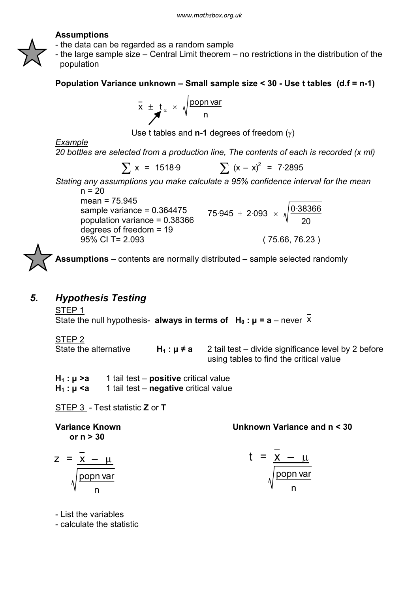### **Assumptions**

- the data can be regarded as a random sample
- the large sample size Central Limit theorem no restrictions in the distribution of the population

**Population Variance unknown – Small sample size < 30 - Use t tables (d.f = n-1)**

$$
\overline{\mathbf{x}} \pm \mathbf{t}_{\alpha} \times \sqrt{\frac{\text{popn var}}{\mathbf{n}}}
$$

Use t tables and  $n-1$  degrees of freedom  $(\gamma)$ 

*Example*

*20 bottles are selected from a production line, The contents of each is recorded (x ml)*

$$
\sum x = 1518.9 \qquad \sum (x - \bar{x})^2 = 7.2895
$$

*Stating any assumptions you make calculate a 95% confidence interval for the mean*  $n = 20$ 

mean = 75.945 sample variance = 0.364475 population variance =  $0.3836$ degrees of freedom = 19 95% CI T= 2.093 ( 75.66, 76.23 )

$$
75.945 \pm 2.093 \times \sqrt{\frac{0.38366}{20}}
$$

**Assumptions** – contents are normally distributed – sample selected randomly

# *5. Hypothesis Testing*

STEP 1 State the null hypothesis- **always in terms of**  $H_0: \mu = a$  – never  $\overline{X}$ 

STEP 2 State the alternative **H**<sub>1</sub>:  $\mu \neq a$  2 tail test – divide significance level by 2 before using tables to find the critical value

**H1 : µ >a** 1 tail test – **positive** critical value  $H_1: \mu \leq a$  1 tail test – **negative** critical value

STEP 3 - Test statistic **Z** or **T**

**Variance Known Unknown Variance and n < 30 or n > 30**

$$
z = \frac{\overline{x} - \mu}{\sqrt{\frac{popn \, \text{var}}{n}}} \qquad \qquad t = \frac{\overline{x} - \mu}{\sqrt{\frac{popn \, \text{var}}{n}}}
$$

$$
1 = \frac{\overline{x} - \mu}{\sqrt{\frac{\text{popn var}}{n}}}
$$

- List the variables

- calculate the statistic

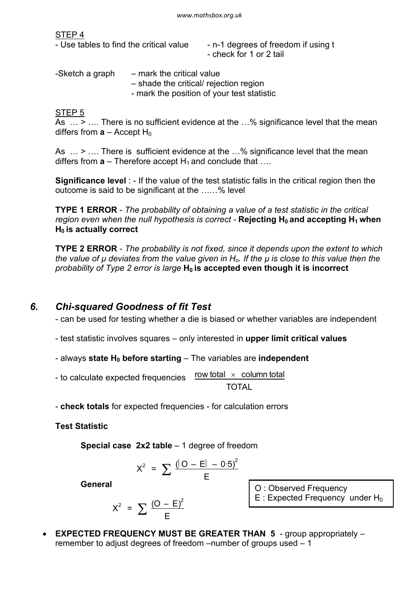STEP 4

|  |  |  | - Use tables to find the critical value |  |
|--|--|--|-----------------------------------------|--|
|  |  |  |                                         |  |

- n-1 degrees of freedom if using t - check for 1 or 2 tail

| -Sketch a graph | - mark the critical value                  |
|-----------------|--------------------------------------------|
|                 | - shade the critical/ rejection region     |
|                 | - mark the position of your test statistic |

STEP 5

As  $\ldots$  >  $\ldots$  There is no sufficient evidence at the  $\ldots$ % significance level that the mean differs from  $a -$  Accept H<sub>0</sub>

As  $\ldots$  >  $\ldots$  There is sufficient evidence at the  $\ldots$ % significance level that the mean differs from  $a$  – Therefore accept  $H_1$  and conclude that ...

**Significance level** : - If the value of the test statistic falls in the critical region then the outcome is said to be significant at the ……% level

**TYPE 1 ERROR** - *The probability of obtaining a value of a test statistic in the critical region even when the null hypothesis is correct -* **Rejecting H<sup>0</sup> and accepting H<sup>1</sup> when H<sup>0</sup> is actually correct**

**TYPE 2 ERROR** - *The probability is not fixed, since it depends upon the extent to which the value of µ deviates from the value given in Ho. If the µ is close to this value then the probability of Type 2 error is large* **H<sup>0</sup> is accepted even though it is incorrect**

# *6. Chi-squared Goodness of fit Test*

- can be used for testing whether a die is biased or whether variables are independent

- test statistic involves squares – only interested in **upper limit critical values**

- always **state H0 before starting** – The variables are **independent**

row total  $\times$  column total TOTAL - to calculate expected frequencies

- **check totals** for expected frequencies - for calculation errors

**Test Statistic**

**Special case 2x2 table** – 1 degree of freedom

$$
X^{2} = \sum \frac{(\vert O - E \vert - 0.5)^{2}}{E}
$$

**General**

$$
X^2 = \sum \frac{(O - E)^2}{E}
$$

O : Observed Frequency

 $E$  : Expected Frequency under H<sub>0</sub>

**EXPECTED FREQUENCY MUST BE GREATER THAN 5** - group appropriately – remember to adjust degrees of freedom –number of groups used – 1